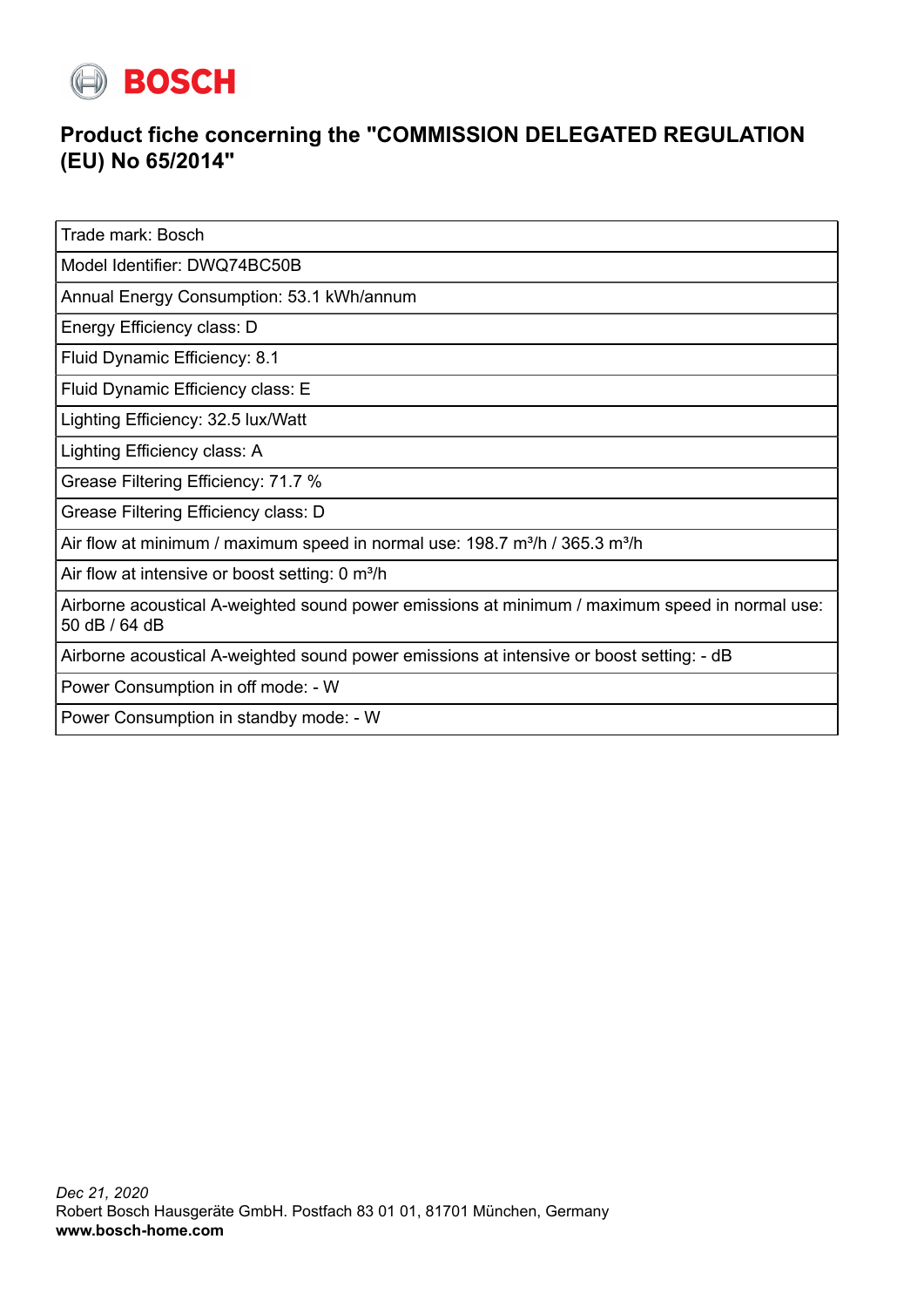

## **Product fiche concerning the "COMMISSION DELEGATED REGULATION (EU) No 65/2014"**

Trade mark: Bosch

Model Identifier: DWQ74BC50B

Annual Energy Consumption: 53.1 kWh/annum

Energy Efficiency class: D

Fluid Dynamic Efficiency: 8.1

Fluid Dynamic Efficiency class: E

Lighting Efficiency: 32.5 lux/Watt

Lighting Efficiency class: A

Grease Filtering Efficiency: 71.7 %

Grease Filtering Efficiency class: D

Air flow at minimum / maximum speed in normal use:  $198.7 \text{ m}^3/\text{h}$  /  $365.3 \text{ m}^3/\text{h}$ 

Air flow at intensive or boost setting: 0 m<sup>3</sup>/h

Airborne acoustical A-weighted sound power emissions at minimum / maximum speed in normal use: 50 dB / 64 dB

Airborne acoustical A-weighted sound power emissions at intensive or boost setting: - dB

Power Consumption in off mode: - W

Power Consumption in standby mode: - W